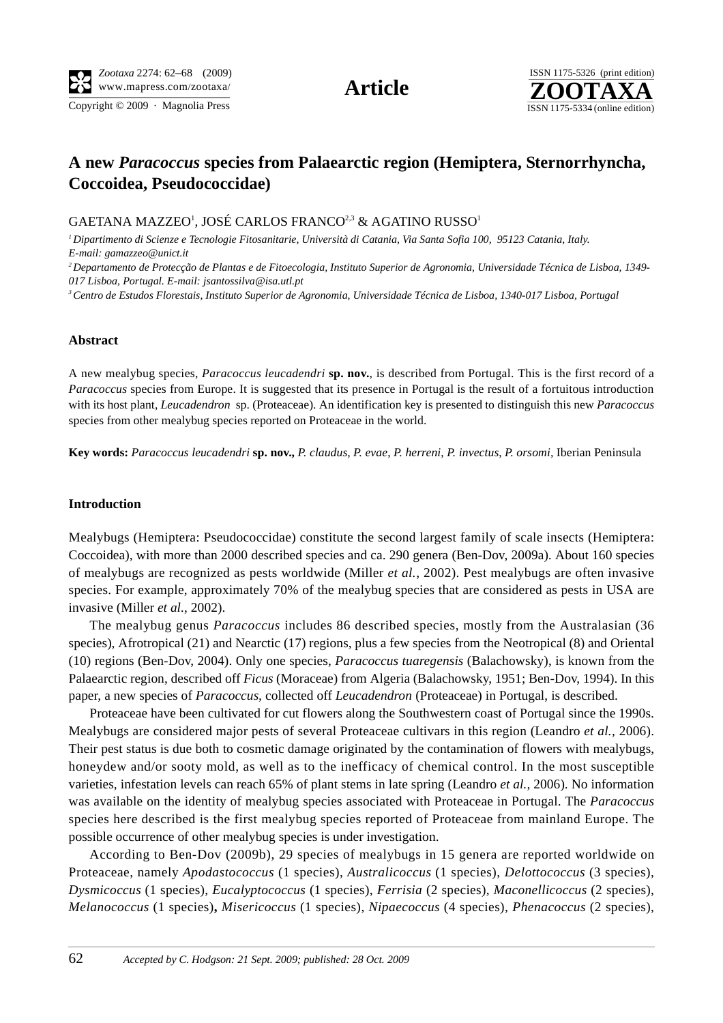Copyright © 2009 · Magnolia Press ISSN 1175-5334 (online edition)



# **A new** *Paracoccus* **species from Palaearctic region (Hemiptera, Sternorrhyncha, Coccoidea, Pseudococcidae)**

GAETANA MAZZEO<sup>1</sup>, JOSÉ CARLOS FRANCO<sup>2,3</sup> & AGATINO RUSSO<sup>1</sup>

*1 Dipartimento di Scienze e Tecnologie Fitosanitarie, Università di Catania, Via Santa Sofia 100, 95123 Catania, Italy. E-mail: gamazzeo@unict.it*

*2 Departamento de Protecção de Plantas e de Fitoecologia, Instituto Superior de Agronomia, Universidade Técnica de Lisboa, 1349- 017 Lisboa, Portugal. E-mail: jsantossilva@isa.utl.pt*

*3 Centro de Estudos Florestais, Instituto Superior de Agronomia, Universidade Técnica de Lisboa, 1340-017 Lisboa, Portugal*

### **Abstract**

A new mealybug species, *Paracoccus leucadendri* **sp. nov.**, is described from Portugal. This is the first record of a *Paracoccus* [species from Europe. It is suggested that its presence](http://www.sel.barc.usda.gov/catalogs/pseudoco/Delottococcusconfusus.htm#Delottococcusconfusus_distrib) [in Portugal](http://www.sel.barc.usda.gov/catalogs/pseudoco/Delottococcusprot) [is the result of a fo](http://www.sel.barc.usda.gov/catalogs/pseudoco/Delottococcustrichiliae.htm#Delottococcustrichiliae_distrib)[rtuitous intro](http://www.sel.barc.usda.gov/catalogs)[duction](http://www.sel.barc.usda.gov/catalogs/pseudoco/Ferrisiavirgata.htm#Ferrisiavirgata_distrib) [with its host](http://www.sel.barc.usda.gov/catalogs/pseudoco/Ferrisiavirgata.htm#Ferrisiavirgata_distrib) [plant,](http://www.sel.barc.usda.gov/) *[Leucadendron](http://www.sel.barc.usda.gov/catalogs/pseudoco/Nipaecoccusviridis.htm#Nipaecoccusviridis_distrib)* [sp. \(Proteaceae\). An identification key](http://www.) [is presented to distinguish this new](http://www.sel.barc.usda.gov/catalogs/pseudoco/Planococcuscitri.htm#Planococcuscitri_distrib) *[Paracoccus](http://www.sel.barc.usda.gov/catalogs/pseudoco/Pseudococcuslongispinus.htm#Pseudococcuslongispinus_distrib)* species from other mealybug species reported on Proteaceae in the world.

**Key words:** *[Paracoccus leucadendri](http://www.sel.barc.usda.gov/catalogs/pseudoco/Paracoccusburnerae.htm#Paracoccusburnerae_distrib)* **[sp. nov.,](http:)** *P. claudus*[,](http://www.sel.barc.usda.gov/catalogs/pseudoco/Paracoccuslatebrosus.htm#Paracoccuslatebrosus_distrib) *P. evae*, *P. herreni*, *[P. invectus](http://www.sel.barc.usda.gov/catalogs/pseudoco/Paracoccusmuraltiae.htm#Paracoccusmuraltiae_distrib)*, *P. orsomi,* [Iberian Peninsula](http://www.sel.barc.usda.gov/catalogs/pseudoco/Paracoccusperperus.htm#Paracoccusperperus_distrib)

#### **Introduction**

Mealybugs (Hemiptera: Pseudococcidae) constitute the second largest family of scale insects (Hemiptera: Coccoidea), with more than 2000 described species and ca. 290 genera (Ben-Dov, 2009a). About 160 species of mealybugs are recognized as pests worldwide (Miller *et al.*[, 2002\). Pest mealybugs are often invasive](http://www.sel.barc.usda.gov/catalogs/pseudoco/Delottococcusquaesitus.htm#Delottococcusquaesitus_distrib) [species. For example, approximately 70% of the mealybug species that are considered as](http://www.sel.barc.usda.gov/catalogs/pseudoco/Delottococcusquaesitus.htm#Delottococcusquaesitus_distrib) [pests in USA are](http://www.sel.barc.usda.gov/catalogs/pseudoco/Phenacoccusstelli.htm#Phenacoccusstelli_distrib) [in](http://www.sel.barc.usda.gov/catalogs/pseudoco/Phenacoccusstelli.htm#Phenacoccusstelli_distrib)[vasive \(Miller](http://www.sel.barc.usda.gov/catalogs/pseudoco/Planoc) *et al.*[, 2002\).](http://www.sel.barc.usda.gov/catalogs/pseudoco/Pseudococcuscalceolariae.htm#Pseudococcuscalceolariae_distrib)

The mealybug genus *Paracoccus* includes 86 described species, mostly from the Australasian (36 species), Afrotropical (21) and Nearctic (17) regions, plus a few species from the Neotropical (8) and Oriental (10) regions (Ben-Dov, 2004). Only one species, *Paracoccus tuaregensis* (Balachowsky), is known from the Palaearctic region, described off *Ficus* (Moraceae) from Algeria (Balachowsky, 1951; Ben-Dov, 1994). In this paper, a new species of *Paracoccus,* collected off *Leucadendron* (Proteaceae) in Portugal, is described.

Proteaceae have been cultivated for cut flowers along the Southwestern coast of Portugal since the 1990s. Mealybugs are considered major pests of several Proteaceae cultivars in this region (Leandro *et al.*, 2006). Their pest status is due both to cosmetic damage originated by the contamination of flowers with mealybugs, honeydew and/or sooty mold, as well as to the inefficacy of chemical control. In the most susceptible varieties, infestation levels can reach 65% of plant stems in late spring (Leandro *et al.,* 2006). No information was available on the identity of mealybug species associated with Proteaceae in Portugal. The *Paracoccus*  species here described is the first mealybug species reported of Proteaceae from mainland Europe. The possible occurrence of other mealybug species is under investigation.

According to Ben-Dov (2009b), 29 species of mealybugs in 15 genera are reported worldwide on Proteaceae, namely *Apodastococcus* (1 species), *Australicoccus* (1 species), *Delottococcus* (3 species), *Dysmicoccus* (1 species), *Eucalyptococcus* (1 species), *Ferrisia* (2 species), *Maconellicoccus* (2 species), *Melanococcus* (1 species)**,** *Misericoccus* (1 species), *Nipaecoccus* (4 species), *Phenacoccus* (2 species),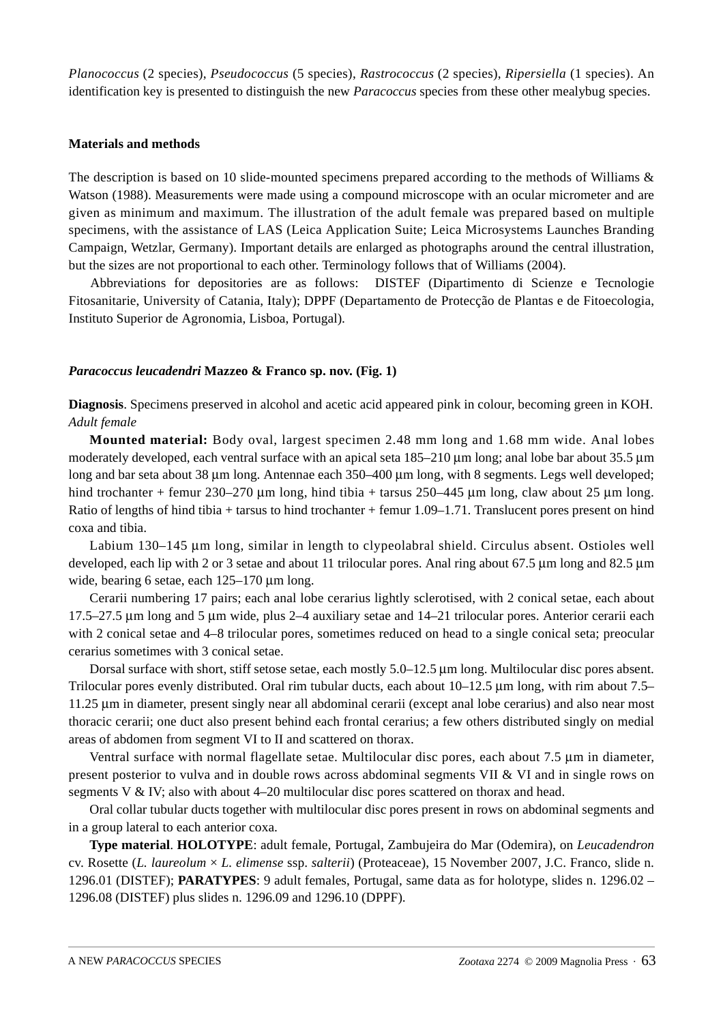*Planococcus* (2 species), *Pseudococcus* (5 species), *Rastrococcus* (2 species), *Ripersiella* (1 species). An identification key is presented to distinguish the new *Paracoccus* species from these other mealybug species.

## **Materials and methods**

The description is based on 10 slide-mounted specimens prepared according to the methods of Williams & Watson (1988). Measurements were made using a compound microscope with an ocular micrometer and are given as minimum and maximum. The illustration of the adult female was prepared based on multiple specimens, with the assistance of LAS (Leica Application Suite; Leica Microsystems Launches Branding Campaign, Wetzlar, Germany). Important details are enlarged as photographs around the central illustration, but the sizes are not proportional to each other. Terminology follows that of Williams (2004).

Abbreviations for depositories are as follows: DISTEF (Dipartimento di Scienze e Tecnologie Fitosanitarie, University of Catania, Italy); DPPF (Departamento de Protecção de Plantas e de Fitoecologia, Instituto Superior de Agronomia, Lisboa, Portugal).

# *Paracoccus leucadendri* **Mazzeo & Franco sp. nov. (Fig. 1)**

**Diagnosis**. Specimens preserved in alcohol and acetic acid appeared pink in colour, becoming green in KOH. *Adult female*

**Mounted material:** Body oval, largest specimen 2.48 mm long and 1.68 mm wide. Anal lobes moderately developed, each ventral surface with an apical seta 185–210 μm long; anal lobe bar about 35.5 μm long and bar seta about 38 μm long. Antennae each 350–400 μm long, with 8 segments. Legs well developed; hind trochanter + femur 230–270 μm long, hind tibia + tarsus 250–445 μm long, claw about 25 μm long. Ratio of lengths of hind tibia + tarsus to hind trochanter + femur 1.09–1.71. Translucent pores present on hind coxa and tibia.

Labium 130–145 μm long, similar in length to clypeolabral shield. Circulus absent. Ostioles well developed, each lip with 2 or 3 setae and about 11 trilocular pores. Anal ring about 67.5 μm long and 82.5 μm wide, bearing 6 setae, each 125–170 μm long.

Cerarii numbering 17 pairs; each anal lobe cerarius lightly sclerotised, with 2 conical setae, each about 17.5–27.5 μm long and 5 μm wide, plus 2–4 auxiliary setae and 14–21 trilocular pores. Anterior cerarii each with 2 conical setae and 4–8 trilocular pores, sometimes reduced on head to a single conical seta; preocular cerarius sometimes with 3 conical setae.

Dorsal surface with short, stiff setose setae, each mostly 5.0–12.5 μm long. Multilocular disc pores absent. Trilocular pores evenly distributed. Oral rim tubular ducts, each about 10–12.5 μm long, with rim about 7.5– 11.25 μm in diameter, present singly near all abdominal cerarii (except anal lobe cerarius) and also near most thoracic cerarii; one duct also present behind each frontal cerarius; a few others distributed singly on medial areas of abdomen from segment VI to II and scattered on thorax.

Ventral surface with normal flagellate setae. Multilocular disc pores, each about 7.5 μm in diameter, present posterior to vulva and in double rows across abdominal segments VII & VI and in single rows on segments V & IV; also with about 4–20 multilocular disc pores scattered on thorax and head.

Oral collar tubular ducts together with multilocular disc pores present in rows on abdominal segments and in a group lateral to each anterior coxa.

**Type material**. **HOLOTYPE**: adult female, Portugal, Zambujeira do Mar (Odemira), on *Leucadendron*  cv. Rosette (*L. laureolum* × *L. elimense* ssp. *salterii*) (Proteaceae), 15 November 2007, J.C. Franco, slide n. 1296.01 (DISTEF); **PARATYPES**: 9 adult females, Portugal, same data as for holotype, slides n. 1296.02 – 1296.08 (DISTEF) plus slides n. 1296.09 and 1296.10 (DPPF).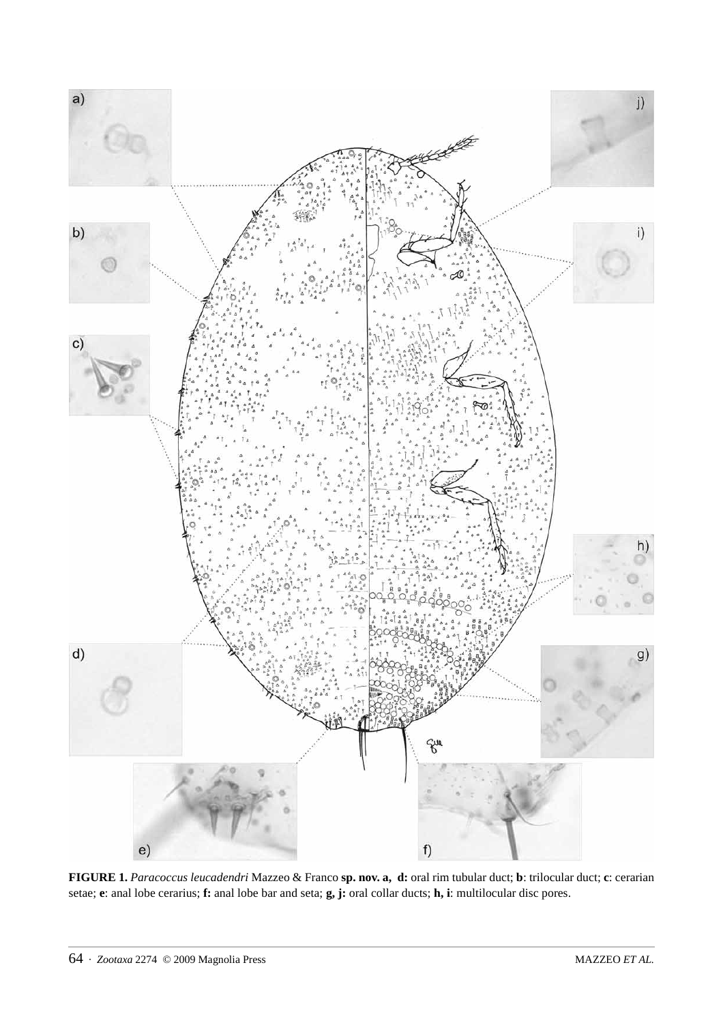

**FIGURE 1.** *Paracoccus leucadendri* Mazzeo & Franco **sp. nov. a, d:** oral rim tubular duct; **b**: trilocular duct; **c**: cerarian setae; **e**: anal lobe cerarius; **f:** anal lobe bar and seta; **g, j:** oral collar ducts; **h, i**: multilocular disc pores.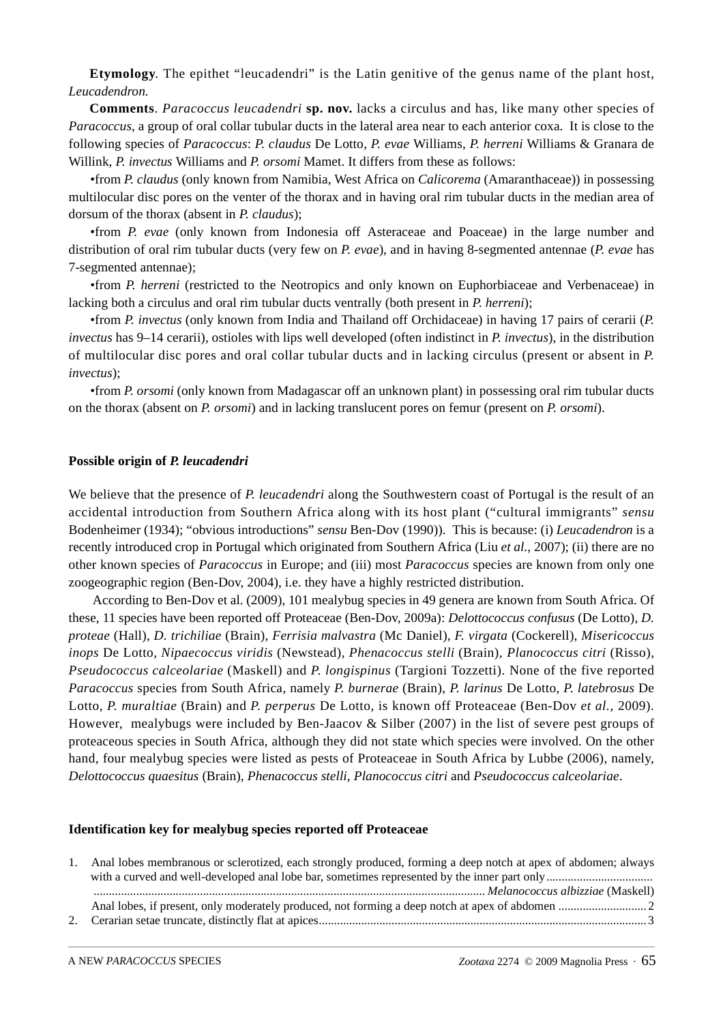**Etymology**. The epithet "leucadendri" is the Latin genitive of the genus name of the plant host, *Leucadendron.*

**Comments**. *Paracoccus leucadendri* **sp. nov.** lacks a circulus and has, like many other species of *Paracoccus*, a group of oral collar tubular ducts in the lateral area near to each anterior coxa. It is close to the following species of *Paracoccus*: *P. claudus* De Lotto, *P. evae* Williams, *P. herreni* Williams & Granara de Willink, *P. invectus* Williams and *P. orsomi* Mamet. It differs from these as follows:

•from *P. claudus* (only known from Namibia, West Africa on *Calicorema* (Amaranthaceae)) in possessing multilocular disc pores on the venter of the thorax and in having oral rim tubular ducts in the median area of dorsum of the thorax (absent in *P. claudus*);

•from *P. evae* (only known from Indonesia off Asteraceae and Poaceae) in the large number and distribution of oral rim tubular ducts (very few on *P. evae*), and in having 8-segmented antennae (*P. evae* has 7-segmented antennae);

•from *P. herreni* (restricted to the Neotropics and only known on Euphorbiaceae and Verbenaceae) in lacking both a circulus and oral rim tubular ducts ventrally (both present in *P. herreni*);

•from *P. invectus* (only known from India and Thailand off Orchidaceae) in having 17 pairs of cerarii (*P. invectus* has 9–14 cerarii), ostioles with lips well developed (often indistinct in *P. invectus*), in the distribution of multilocular disc pores and oral collar tubular ducts and in lacking circulus (present or absent in *P. invectus*);

•from *P. orsomi* (only known from Madagascar off an unknown plant) in possessing oral rim tubular ducts on the thorax (absent on *P. orsomi*) and in lacking translucent pores on femur (present on *P. orsomi*).

### **Possible origin of** *P. leucadendri*

We believe that the presence of *P. leucadendri* along the Southwestern coast of Portugal is the result of an accidental introduction from Southern Africa along with its host plant ("cultural immigrants" *sensu*  Bodenheimer (1934); "obvious introductions" *sensu* Ben-Dov (1990)). This is because: (i) *Leucadendron* is a recently introduced crop in Portugal which originated from Southern Africa (Liu *et al.*, 2007); (ii) there are no other known species of *Paracoccus* in Europe; and (iii) most *Paracoccus* species are known from only one zoogeographic region (Ben-Dov, 2004), i.e. they have a highly restricted distribution.

 According to Ben-Dov et al. (2009), 101 mealybug species in 49 genera are known from South Africa. Of these, 11 species have been reported off Proteaceae (Ben-Dov, 2009a): *Delottococcus confusus* (De Lotto), *D. proteae* (Hall), *D. trichiliae* (Brain), *Ferrisia malvastra* (Mc Daniel), *F. virgata* (Cockerell), *Misericoccus inops* De Lotto, *Nipaecoccus viridis* (Newstead), *Phenacoccus stelli* (Brain), *Planococcus citri* (Risso), *Pseudococcus calceolariae* (Maskell) and *P. longispinus* (Targioni Tozzetti). None of the five reported *Paracoccus* species from South Africa*,* namely *P. burnerae* (Brain), *P. larinus* De Lotto, *P. latebrosus* De Lotto, *P. muraltiae* (Brain) and *P. perperus* De Lotto, is known off Proteaceae (Ben-Dov *et al.*, 2009). However, mealybugs were included by Ben-Jaacov & Silber (2007) in the list of severe pest groups of proteaceous species in South Africa, although they did not state which species were involved. On the other hand, four mealybug species were listed as pests of Proteaceae in South Africa by Lubbe (2006), namely, *Delottococcus quaesitus* (Brain), *Phenacoccus stelli, Planococcus citri* and *Pseudococcus calceolariae*.

### **Identification key for mealybug species reported off Proteaceae**

| $\mathbf{L}$ | Anal lobes membranous or sclerotized, each strongly produced, forming a deep notch at apex of abdomen; always |
|--------------|---------------------------------------------------------------------------------------------------------------|
|              |                                                                                                               |
|              |                                                                                                               |
|              |                                                                                                               |
|              |                                                                                                               |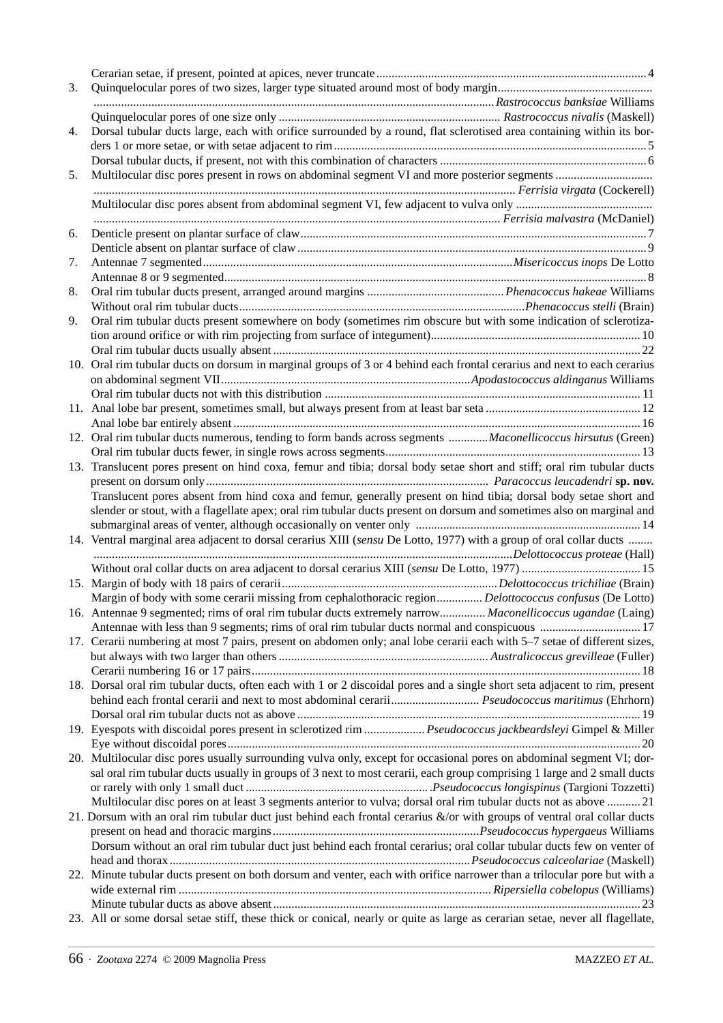| 3. |                                                                                                                                                                                                                            |
|----|----------------------------------------------------------------------------------------------------------------------------------------------------------------------------------------------------------------------------|
|    |                                                                                                                                                                                                                            |
|    |                                                                                                                                                                                                                            |
| 4. | Dorsal tubular ducts large, each with orifice surrounded by a round, flat sclerotised area containing within its bor-                                                                                                      |
|    |                                                                                                                                                                                                                            |
|    |                                                                                                                                                                                                                            |
| 5. |                                                                                                                                                                                                                            |
|    |                                                                                                                                                                                                                            |
|    |                                                                                                                                                                                                                            |
|    |                                                                                                                                                                                                                            |
| 6. |                                                                                                                                                                                                                            |
|    |                                                                                                                                                                                                                            |
| 7. |                                                                                                                                                                                                                            |
|    |                                                                                                                                                                                                                            |
| 8. |                                                                                                                                                                                                                            |
|    |                                                                                                                                                                                                                            |
| 9. | Oral rim tubular ducts present somewhere on body (sometimes rim obscure but with some indication of sclerotiza-                                                                                                            |
|    |                                                                                                                                                                                                                            |
|    |                                                                                                                                                                                                                            |
|    | 10. Oral rim tubular ducts on dorsum in marginal groups of 3 or 4 behind each frontal cerarius and next to each cerarius                                                                                                   |
|    |                                                                                                                                                                                                                            |
|    |                                                                                                                                                                                                                            |
|    |                                                                                                                                                                                                                            |
|    |                                                                                                                                                                                                                            |
|    | 12. Oral rim tubular ducts numerous, tending to form bands across segments Maconellicoccus hirsutus (Green)                                                                                                                |
|    |                                                                                                                                                                                                                            |
|    | 13. Translucent pores present on hind coxa, femur and tibia; dorsal body setae short and stiff; oral rim tubular ducts                                                                                                     |
|    |                                                                                                                                                                                                                            |
|    | Translucent pores absent from hind coxa and femur, generally present on hind tibia; dorsal body setae short and                                                                                                            |
|    | slender or stout, with a flagellate apex; oral rim tubular ducts present on dorsum and sometimes also on marginal and                                                                                                      |
|    |                                                                                                                                                                                                                            |
|    | 14. Ventral marginal area adjacent to dorsal cerarius XIII (sensu De Lotto, 1977) with a group of oral collar ducts                                                                                                        |
|    |                                                                                                                                                                                                                            |
|    |                                                                                                                                                                                                                            |
|    |                                                                                                                                                                                                                            |
|    | Margin of body with some cerarii missing from cephalothoracic region Delottococcus confusus (De Lotto)                                                                                                                     |
|    | 16. Antennae 9 segmented; rims of oral rim tubular ducts extremely narrow Maconellicoccus ugandae (Laing)                                                                                                                  |
|    | Antennae with less than 9 segments; rims of oral rim tubular ducts normal and conspicuous  17<br>17. Cerarii numbering at most 7 pairs, present on abdomen only; anal lobe cerarii each with 5-7 setae of different sizes, |
|    |                                                                                                                                                                                                                            |
|    |                                                                                                                                                                                                                            |
|    | 18. Dorsal oral rim tubular ducts, often each with 1 or 2 discoidal pores and a single short seta adjacent to rim, present                                                                                                 |
|    | behind each frontal cerarii and next to most abdominal cerarii Pseudococcus maritimus (Ehrhorn)                                                                                                                            |
|    |                                                                                                                                                                                                                            |
|    | 19. Eyespots with discoidal pores present in sclerotized rim  Pseudococcus jackbeardsleyi Gimpel & Miller                                                                                                                  |
|    |                                                                                                                                                                                                                            |
|    | 20. Multilocular disc pores usually surrounding vulva only, except for occasional pores on abdominal segment VI; dor-                                                                                                      |
|    | sal oral rim tubular ducts usually in groups of 3 next to most cerarii, each group comprising 1 large and 2 small ducts                                                                                                    |
|    |                                                                                                                                                                                                                            |
|    | Multilocular disc pores on at least 3 segments anterior to vulva; dorsal oral rim tubular ducts not as above  21                                                                                                           |
|    | 21. Dorsum with an oral rim tubular duct just behind each frontal cerarius $\&$ /or with groups of ventral oral collar ducts                                                                                               |
|    |                                                                                                                                                                                                                            |
|    | Dorsum without an oral rim tubular duct just behind each frontal cerarius; oral collar tubular ducts few on venter of                                                                                                      |
|    |                                                                                                                                                                                                                            |
|    | 22. Minute tubular ducts present on both dorsum and venter, each with orifice narrower than a trilocular pore but with a                                                                                                   |
|    |                                                                                                                                                                                                                            |
|    |                                                                                                                                                                                                                            |
|    | 23. All or some dorsal setae stiff, these thick or conical, nearly or quite as large as cerarian setae, never all flagellate,                                                                                              |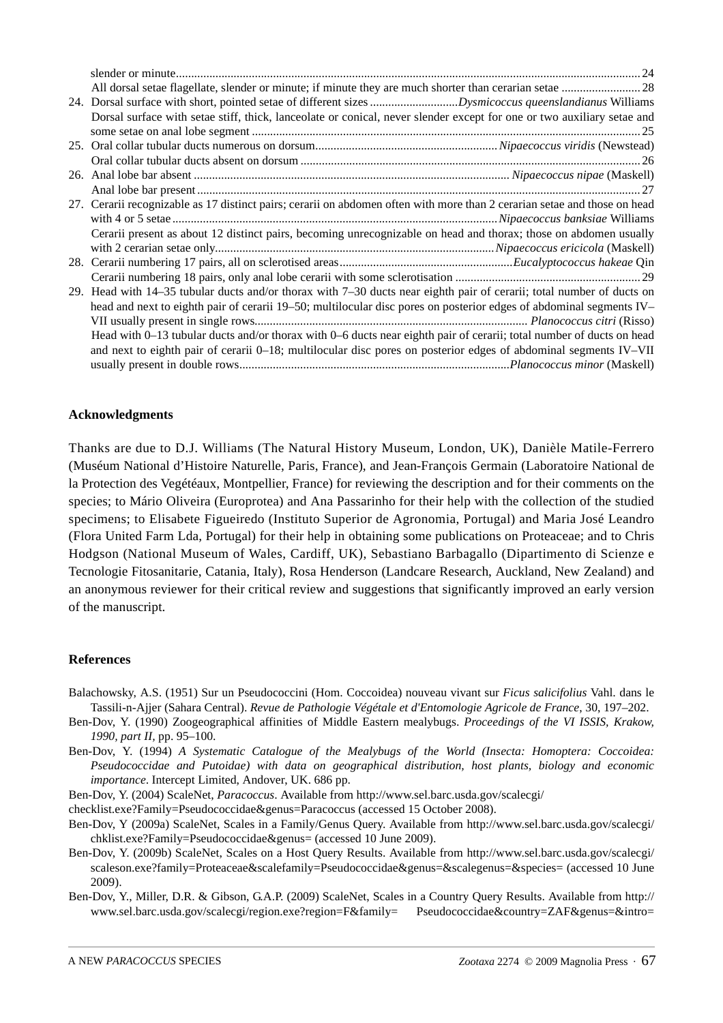| Dorsal surface with setae stiff, thick, lanceolate or conical, never slender except for one or two auxiliary setae and    |
|---------------------------------------------------------------------------------------------------------------------------|
|                                                                                                                           |
|                                                                                                                           |
|                                                                                                                           |
|                                                                                                                           |
|                                                                                                                           |
| 27. Cerarii recognizable as 17 distinct pairs; cerarii on abdomen often with more than 2 cerarian setae and those on head |
|                                                                                                                           |
| Cerarii present as about 12 distinct pairs, becoming unrecognizable on head and thorax; those on abdomen usually          |
|                                                                                                                           |
|                                                                                                                           |
|                                                                                                                           |
| 29. Head with 14–35 tubular ducts and/or thorax with 7–30 ducts near eighth pair of cerarii; total number of ducts on     |
| head and next to eighth pair of cerarii 19–50; multilocular disc pores on posterior edges of abdominal segments IV–       |
|                                                                                                                           |
| Head with 0–13 tubular ducts and/or thorax with 0–6 ducts near eighth pair of cerarii; total number of ducts on head      |
| and next to eighth pair of cerarii 0–18; multilocular disc pores on posterior edges of abdominal segments IV–VII          |
|                                                                                                                           |
|                                                                                                                           |

# **Acknowledgments**

Thanks are due to D.J. Williams (The Natural History Museum, London, UK), Danièle Matile-Ferrero (Muséum National d'Histoire Naturelle, Paris, France), and Jean-François Germain (Laboratoire National de la Protection des Vegétéaux, Montpellier, France) for reviewing the description and for their comments on the species; to Mário Oliveira (Europrotea) and Ana Passarinho for their help with the collection of the studied specimens; to Elisabete Figueiredo (Instituto Superior de Agronomia, Portugal) and Maria José Leandro (Flora United Farm Lda, Portugal) for their help in obtaining some publications on Proteaceae; and to Chris Hodgson (National Museum of Wales, Cardiff, UK), Sebastiano Barbagallo (Dipartimento di Scienze e Tecnologie Fitosanitarie, Catania, Italy), Rosa Henderson (Landcare Research, Auckland, New Zealand) and an anonymous reviewer for their critical review and suggestions that significantly improved an early version of the manuscript.

## **References**

- Balachowsky, A.S. (1951) Sur un Pseudococcini (Hom. Coccoidea) nouveau vivant sur *Ficus salicifolius* Vahl. dans le Tassili-n-Ajjer (Sahara Central). *Revue de Pathologie Végétale et d'Entomologie Agricole de France*, 30, 197–202.
- Ben-Dov, Y. (1990) Zoogeographical affinities of Middle Eastern mealybugs. *Proceedings of the VI ISSIS, Krakow, 1990, part II,* pp. 95–100.
- Ben-Dov, Y. (1994) *A Systematic Catalogue of the Mealybugs of the World (Insecta: Homoptera: Coccoidea: Pseudococcidae and Putoidae) with data on geographical distribution, host plants, biology and economic importance*. Intercept Limited, Andover, UK. 686 pp.
- Ben-Dov, Y. (2004) ScaleNet, *Paracoccus*. Available from http://www.sel.barc.usda.gov/scalecgi/
- checklist.exe?Family=Pseudococcidae&genus=Paracoccus (accessed 15 October 2008).
- Ben-Dov, Y (2009a) ScaleNet, Scales in a Family/Genus Query. Available from http://www.sel.barc.usda.gov/scalecgi/ chklist.exe?Family=Pseudococcidae&genus= (accessed 10 June 2009).
- Ben-Dov, Y. (2009b) ScaleNet, Scales on a Host Query Results. Available from http://www.sel.barc.usda.gov/scalecgi/ scaleson.exe?family=Proteaceae&scalefamily=Pseudococcidae&genus=&scalegenus=&species= (accessed 10 June 2009).
- Ben-Dov, Y., Miller, D.R. & Gibson, G.A.P. (2009) ScaleNet, Scales in a Country Query Results. Available from http:// www.sel.barc.usda.gov/scalecgi/region.exe?region=F&family= Pseudococcidae&country=ZAF&genus=&intro=